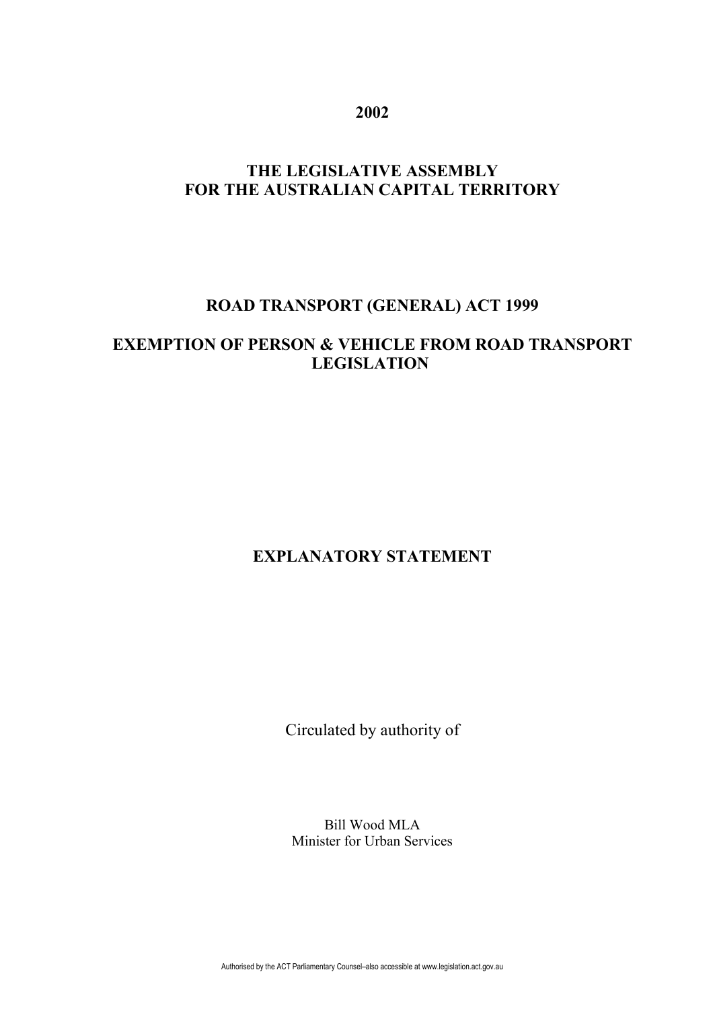**2002**

# **THE LEGISLATIVE ASSEMBLY FOR THE AUSTRALIAN CAPITAL TERRITORY**

#### **ROAD TRANSPORT (GENERAL) ACT 1999**

## **EXEMPTION OF PERSON & VEHICLE FROM ROAD TRANSPORT LEGISLATION**

#### **EXPLANATORY STATEMENT**

Circulated by authority of

Bill Wood MLA Minister for Urban Services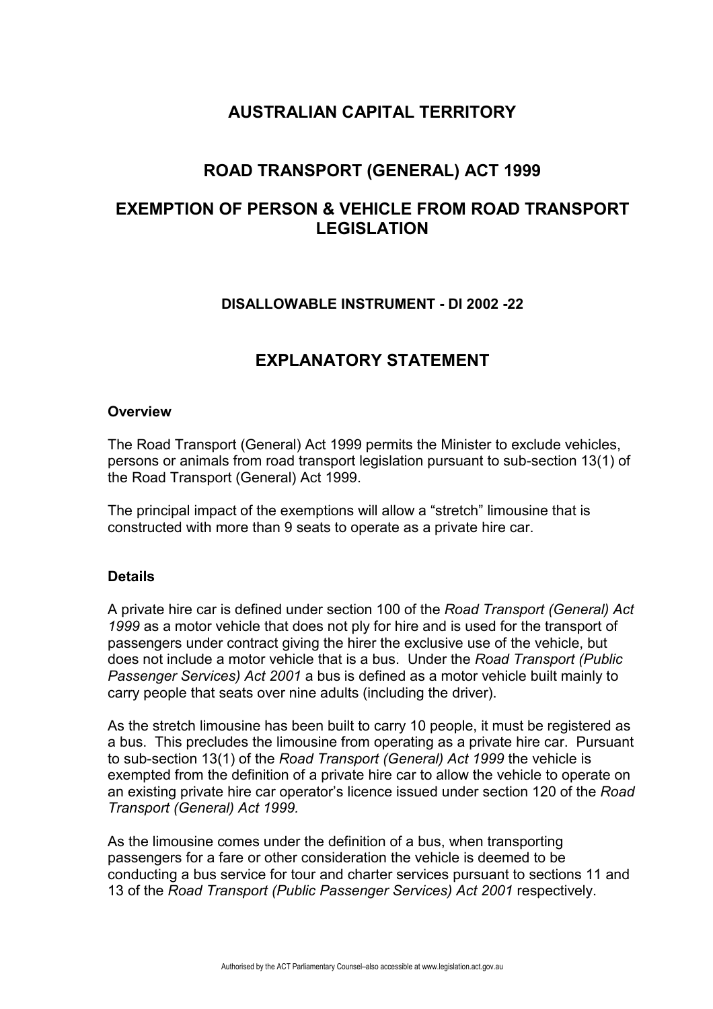#### **AUSTRALIAN CAPITAL TERRITORY**

## **ROAD TRANSPORT (GENERAL) ACT 1999**

## **EXEMPTION OF PERSON & VEHICLE FROM ROAD TRANSPORT LEGISLATION**

#### **DISALLOWABLE INSTRUMENT - DI 2002 -22**

#### **EXPLANATORY STATEMENT**

#### **Overview**

The Road Transport (General) Act 1999 permits the Minister to exclude vehicles, persons or animals from road transport legislation pursuant to sub-section 13(1) of the Road Transport (General) Act 1999.

The principal impact of the exemptions will allow a "stretch" limousine that is constructed with more than 9 seats to operate as a private hire car.

#### **Details**

A private hire car is defined under section 100 of the *Road Transport (General) Act 1999* as a motor vehicle that does not ply for hire and is used for the transport of passengers under contract giving the hirer the exclusive use of the vehicle, but does not include a motor vehicle that is a bus. Under the *Road Transport (Public Passenger Services) Act 2001* a bus is defined as a motor vehicle built mainly to carry people that seats over nine adults (including the driver).

As the stretch limousine has been built to carry 10 people, it must be registered as a bus. This precludes the limousine from operating as a private hire car. Pursuant to sub-section 13(1) of the *Road Transport (General) Act 1999* the vehicle is exempted from the definition of a private hire car to allow the vehicle to operate on an existing private hire car operator's licence issued under section 120 of the *Road Transport (General) Act 1999.*

As the limousine comes under the definition of a bus, when transporting passengers for a fare or other consideration the vehicle is deemed to be conducting a bus service for tour and charter services pursuant to sections 11 and 13 of the *Road Transport (Public Passenger Services) Act 2001* respectively.